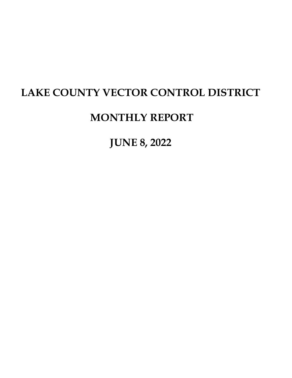# **LAKE COUNTY VECTOR CONTROL DISTRICT**

## **MONTHLY REPORT**

**JUNE 8, 2022**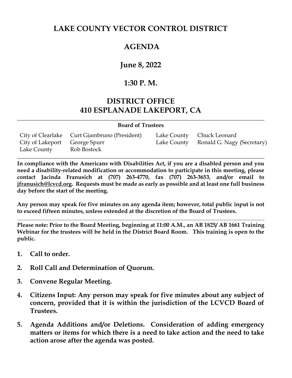#### **LAKE COUNTY VECTOR CONTROL DISTRICT**

### **AGENDA**

#### **June 8, 2022**

#### **1:30 P. M.**

#### **DISTRICT OFFICE 410 ESPLANADE LAKEPORT, CA**

#### **Board of Trustees**

|                               | City of Clearlake Curt Giambruno (President) | Lake County Chuck Leonard              |
|-------------------------------|----------------------------------------------|----------------------------------------|
| City of Lakeport George Spurr |                                              | Lake County Ronald G. Nagy (Secretary) |
| Lake County                   | Rob Bostock                                  |                                        |

**In compliance with the Americans with Disabilities Act, if you are a disabled person and you need a disability-related modification or accommodation to participate in this meeting, please contact Jacinda Franusich at (707) 263-4770, fax (707) 263-3653, and/or email to [jfranusich@lcvcd.org.](mailto:jfranusich@lcvcd.org) Requests must be made as early as possible and at least one full business day before the start of the meeting.**

**Any person may speak for five minutes on any agenda item; however, total public input is not to exceed fifteen minutes, unless extended at the discretion of the Board of Trustees.**

**Please note: Prior to the Board Meeting, beginning at 11:00 A.M., an AB 1825/ AB 1661 Training Webinar for the trustees will be held in the District Board Room. This training is open to the public.** 

- **1. Call to order.**
- **2. Roll Call and Determination of Quorum.**
- **3. Convene Regular Meeting.**
- **4. Citizens Input: Any person may speak for five minutes about any subject of concern, provided that it is within the jurisdiction of the LCVCD Board of Trustees.**
- **5. Agenda Additions and/or Deletions. Consideration of adding emergency matters or items for which there is a need to take action and the need to take action arose after the agenda was posted.**